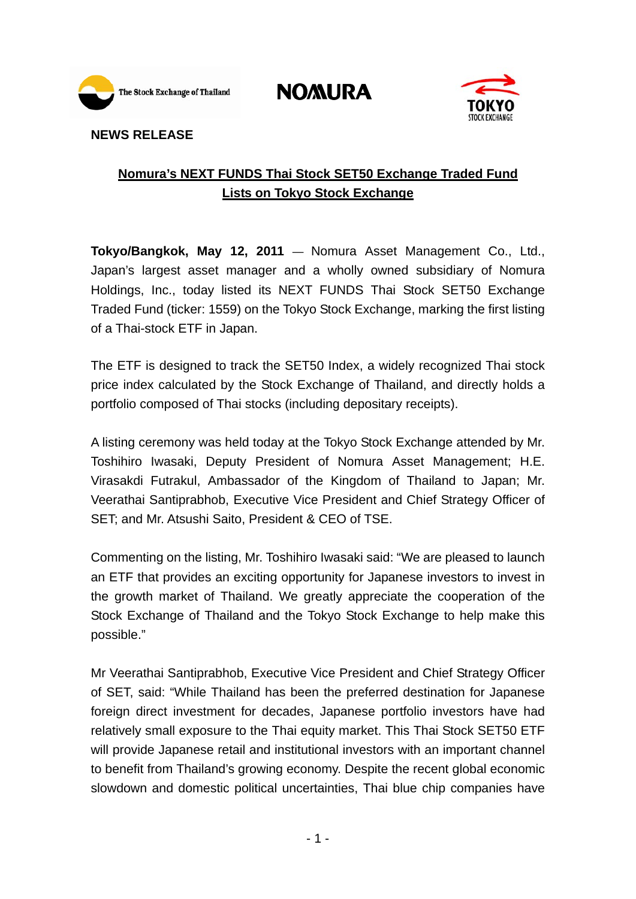

**NOMURA** 



## **NEWS RELEASE**

# **Nomura's NEXT FUNDS Thai Stock SET50 Exchange Traded Fund Lists on Tokyo Stock Exchange**

**Tokyo/Bangkok, May 12, 2011** — Nomura Asset Management Co., Ltd., Japan's largest asset manager and a wholly owned subsidiary of Nomura Holdings, Inc., today listed its NEXT FUNDS Thai Stock SET50 Exchange Traded Fund (ticker: 1559) on the Tokyo Stock Exchange, marking the first listing of a Thai-stock ETF in Japan.

The ETF is designed to track the SET50 Index, a widely recognized Thai stock price index calculated by the Stock Exchange of Thailand, and directly holds a portfolio composed of Thai stocks (including depositary receipts).

A listing ceremony was held today at the Tokyo Stock Exchange attended by Mr. Toshihiro Iwasaki, Deputy President of Nomura Asset Management; H.E. Virasakdi Futrakul, Ambassador of the Kingdom of Thailand to Japan; Mr. Veerathai Santiprabhob, Executive Vice President and Chief Strategy Officer of SET; and Mr. Atsushi Saito, President & CEO of TSE.

Commenting on the listing, Mr. Toshihiro Iwasaki said: "We are pleased to launch an ETF that provides an exciting opportunity for Japanese investors to invest in the growth market of Thailand. We greatly appreciate the cooperation of the Stock Exchange of Thailand and the Tokyo Stock Exchange to help make this possible."

Mr Veerathai Santiprabhob, Executive Vice President and Chief Strategy Officer of SET, said: "While Thailand has been the preferred destination for Japanese foreign direct investment for decades, Japanese portfolio investors have had relatively small exposure to the Thai equity market. This Thai Stock SET50 ETF will provide Japanese retail and institutional investors with an important channel to benefit from Thailand's growing economy. Despite the recent global economic slowdown and domestic political uncertainties, Thai blue chip companies have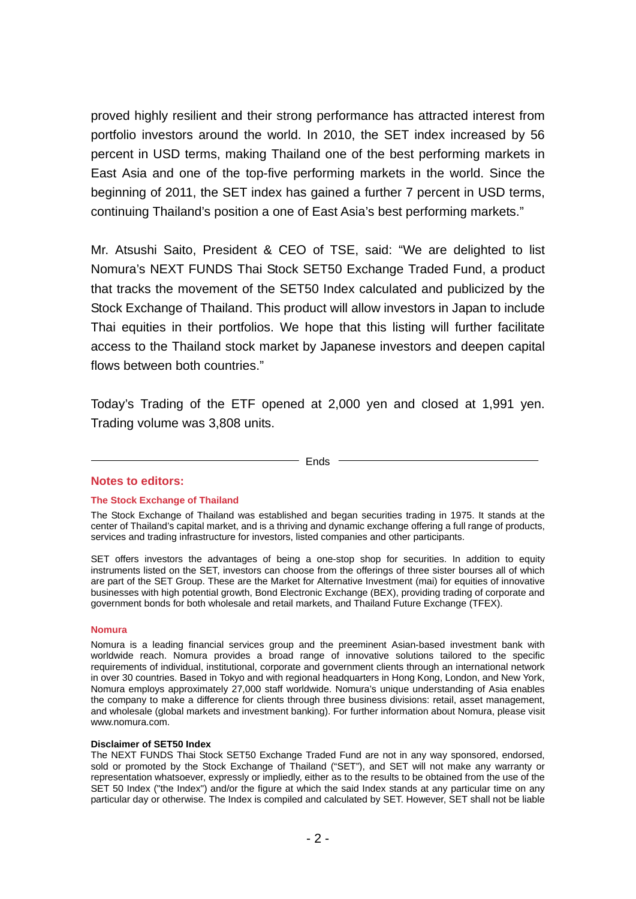proved highly resilient and their strong performance has attracted interest from portfolio investors around the world. In 2010, the SET index increased by 56 percent in USD terms, making Thailand one of the best performing markets in East Asia and one of the top-five performing markets in the world. Since the beginning of 2011, the SET index has gained a further 7 percent in USD terms, continuing Thailand's position a one of East Asia's best performing markets."

Mr. Atsushi Saito, President & CEO of TSE, said: "We are delighted to list Nomura's NEXT FUNDS Thai Stock SET50 Exchange Traded Fund, a product that tracks the movement of the SET50 Index calculated and publicized by the Stock Exchange of Thailand. This product will allow investors in Japan to include Thai equities in their portfolios. We hope that this listing will further facilitate access to the Thailand stock market by Japanese investors and deepen capital flows between both countries."

Today's Trading of the ETF opened at 2,000 yen and closed at 1,991 yen. Trading volume was 3,808 units.

## $-$  Ends  $-$

## **Notes to editors:**

## **The Stock Exchange of Thailand**

The Stock Exchange of Thailand was established and began securities trading in 1975. It stands at the center of Thailand's capital market, and is a thriving and dynamic exchange offering a full range of products, services and trading infrastructure for investors, listed companies and other participants.

SET offers investors the advantages of being a one-stop shop for securities. In addition to equity instruments listed on the SET, investors can choose from the offerings of three sister bourses all of which are part of the SET Group. These are the Market for Alternative Investment (mai) for equities of innovative businesses with high potential growth, Bond Electronic Exchange (BEX), providing trading of corporate and government bonds for both wholesale and retail markets, and Thailand Future Exchange (TFEX).

## **Nomura**

Nomura is a leading financial services group and the preeminent Asian-based investment bank with worldwide reach. Nomura provides a broad range of innovative solutions tailored to the specific requirements of individual, institutional, corporate and government clients through an international network in over 30 countries. Based in Tokyo and with regional headquarters in Hong Kong, London, and New York, Nomura employs approximately 27,000 staff worldwide. Nomura's unique understanding of Asia enables the company to make a difference for clients through three business divisions: retail, asset management, and wholesale (global markets and investment banking). For further information about Nomura, please visit www.nomura.com.

## **Disclaimer of SET50 Index**

The NEXT FUNDS Thai Stock SET50 Exchange Traded Fund are not in any way sponsored, endorsed, sold or promoted by the Stock Exchange of Thailand ("SET"), and SET will not make any warranty or representation whatsoever, expressly or impliedly, either as to the results to be obtained from the use of the SET 50 Index ("the Index") and/or the figure at which the said Index stands at any particular time on any particular day or otherwise. The Index is compiled and calculated by SET. However, SET shall not be liable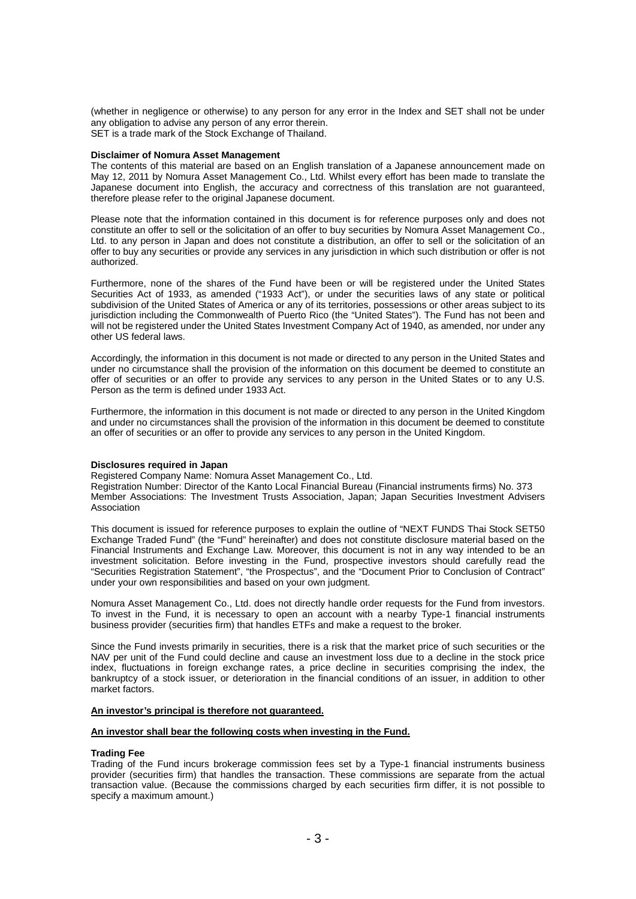(whether in negligence or otherwise) to any person for any error in the Index and SET shall not be under any obligation to advise any person of any error therein. SET is a trade mark of the Stock Exchange of Thailand.

#### **Disclaimer of Nomura Asset Management**

The contents of this material are based on an English translation of a Japanese announcement made on May 12, 2011 by Nomura Asset Management Co., Ltd. Whilst every effort has been made to translate the Japanese document into English, the accuracy and correctness of this translation are not guaranteed, therefore please refer to the original Japanese document.

Please note that the information contained in this document is for reference purposes only and does not constitute an offer to sell or the solicitation of an offer to buy securities by Nomura Asset Management Co., Ltd. to any person in Japan and does not constitute a distribution, an offer to sell or the solicitation of an offer to buy any securities or provide any services in any jurisdiction in which such distribution or offer is not authorized.

Furthermore, none of the shares of the Fund have been or will be registered under the United States Securities Act of 1933, as amended ("1933 Act"), or under the securities laws of any state or political subdivision of the United States of America or any of its territories, possessions or other areas subject to its jurisdiction including the Commonwealth of Puerto Rico (the "United States"). The Fund has not been and will not be registered under the United States Investment Company Act of 1940, as amended, nor under any other US federal laws.

Accordingly, the information in this document is not made or directed to any person in the United States and under no circumstance shall the provision of the information on this document be deemed to constitute an offer of securities or an offer to provide any services to any person in the United States or to any U.S. Person as the term is defined under 1933 Act.

Furthermore, the information in this document is not made or directed to any person in the United Kingdom and under no circumstances shall the provision of the information in this document be deemed to constitute an offer of securities or an offer to provide any services to any person in the United Kingdom.

#### **Disclosures required in Japan**

Registered Company Name: Nomura Asset Management Co., Ltd.

Registration Number: Director of the Kanto Local Financial Bureau (Financial instruments firms) No. 373 Member Associations: The Investment Trusts Association, Japan; Japan Securities Investment Advisers Association

This document is issued for reference purposes to explain the outline of "NEXT FUNDS Thai Stock SET50 Exchange Traded Fund" (the "Fund" hereinafter) and does not constitute disclosure material based on the Financial Instruments and Exchange Law. Moreover, this document is not in any way intended to be an investment solicitation. Before investing in the Fund, prospective investors should carefully read the "Securities Registration Statement", "the Prospectus", and the "Document Prior to Conclusion of Contract" under your own responsibilities and based on your own judgment.

Nomura Asset Management Co., Ltd. does not directly handle order requests for the Fund from investors. To invest in the Fund, it is necessary to open an account with a nearby Type-1 financial instruments business provider (securities firm) that handles ETFs and make a request to the broker.

Since the Fund invests primarily in securities, there is a risk that the market price of such securities or the NAV per unit of the Fund could decline and cause an investment loss due to a decline in the stock price index, fluctuations in foreign exchange rates, a price decline in securities comprising the index, the bankruptcy of a stock issuer, or deterioration in the financial conditions of an issuer, in addition to other market factors.

### **An investor's principal is therefore not guaranteed.**

## **An investor shall bear the following costs when investing in the Fund.**

#### **Trading Fee**

Trading of the Fund incurs brokerage commission fees set by a Type-1 financial instruments business provider (securities firm) that handles the transaction. These commissions are separate from the actual transaction value. (Because the commissions charged by each securities firm differ, it is not possible to specify a maximum amount.)